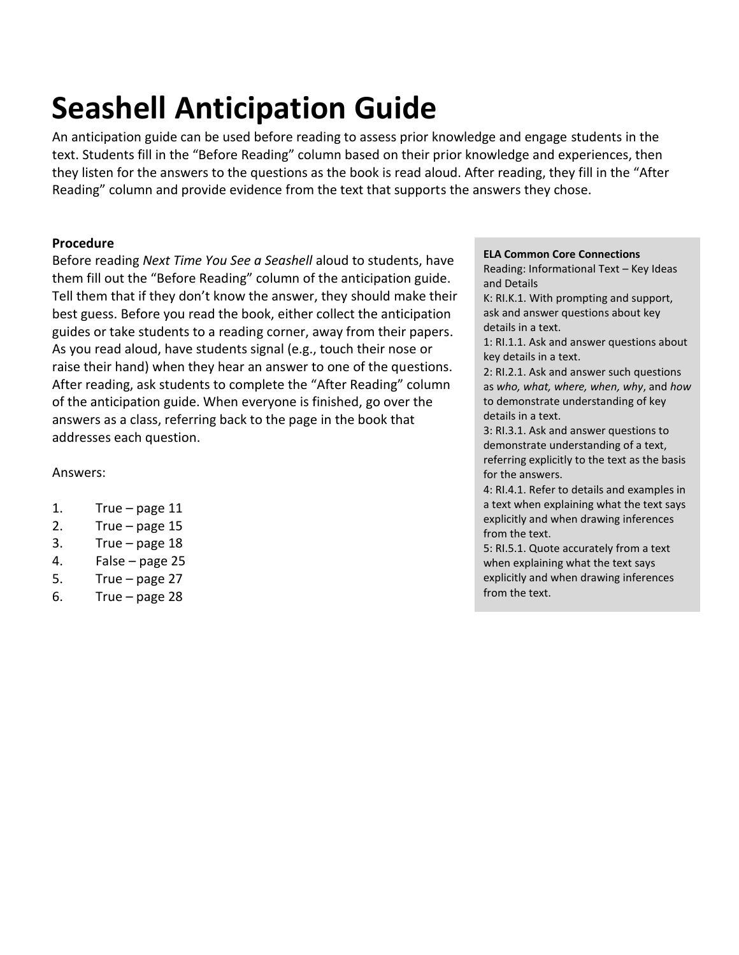## **Seashell Anticipation Guide**

An anticipation guide can be used before reading to assess prior knowledge and engage students in the text. Students fill in the "Before Reading" column based on their prior knowledge and experiences, then they listen for the answers to the questions as the book is read aloud. After reading, they fill in the "After Reading" column and provide evidence from the text that supports the answers they chose.

## **Procedure**

Before reading *Next Time You See a Seashell* aloud to students, have them fill out the "Before Reading" column of the anticipation guide. Tell them that if they don't know the answer, they should make their best guess. Before you read the book, either collect the anticipation guides or take students to a reading corner, away from their papers. As you read aloud, have students signal (e.g., touch their nose or raise their hand) when they hear an answer to one of the questions. After reading, ask students to complete the "After Reading" column of the anticipation guide. When everyone is finished, go over the answers as a class, referring back to the page in the book that addresses each question.

Answers:

- 1. True page 11
- 2. True page 15
- 3. True page 18
- 4. False page 25
- 5. True page 27
- 6. True page 28

## **ELA Common Core Connections**

Reading: Informational Text – Key Ideas and Details

K: RI.K.1. With prompting and support, ask and answer questions about key details in a text.

1: RI.1.1. Ask and answer questions about key details in a text.

2: RI.2.1. Ask and answer such questions as *who, what, where, when, why*, and *how* to demonstrate understanding of key details in a text.

3: RI.3.1. Ask and answer questions to demonstrate understanding of a text, referring explicitly to the text as the basis for the answers.

4: RI.4.1. Refer to details and examples in a text when explaining what the text says explicitly and when drawing inferences from the text.

5: RI.5.1. Quote accurately from a text when explaining what the text says explicitly and when drawing inferences from the text.